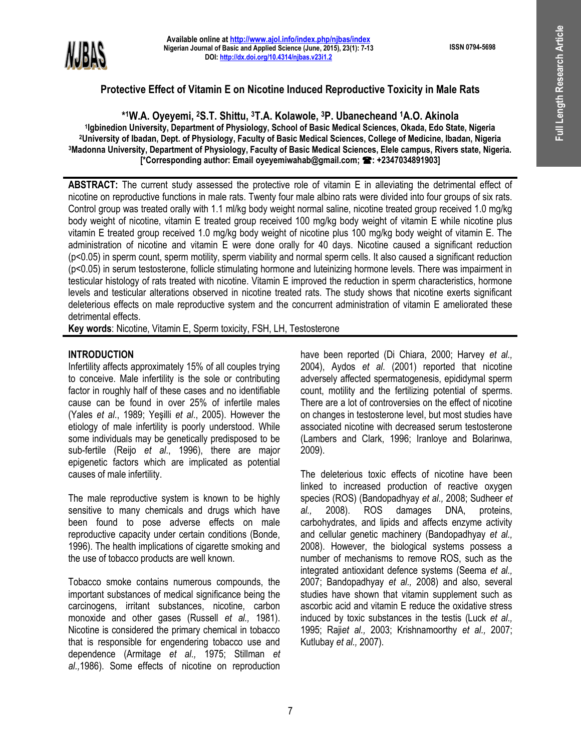**ISSN 0794-5698**



# **Protective Effect of Vitamin E on Nicotine Induced Reproductive Toxicity in Male Rats**

**\* <sup>1</sup>W.A. Oyeyemi, <sup>2</sup>S.T. Shittu, <sup>3</sup>T.A. Kolawole, <sup>3</sup>P. Ubanecheand 1A.O. Akinola 1 Igbinedion University, Department of Physiology, School of Basic Medical Sciences, Okada, Edo State, Nigeria <sup>2</sup>University of Ibadan, Dept. of Physiology, Faculty of Basic Medical Sciences, College of Medicine, Ibadan, Nigeria <sup>3</sup>Madonna University, Department of Physiology, Faculty of Basic Medical Sciences, Elele campus, Rivers state, Nigeria. [\*Corresponding author: Email oyeyemiwahab@gmail.com; : +2347034891903]**

**ABSTRACT:** The current study assessed the protective role of vitamin E in alleviating the detrimental effect of nicotine on reproductive functions in male rats. Twenty four male albino rats were divided into four groups of six rats. Control group was treated orally with 1.1 ml/kg body weight normal saline, nicotine treated group received 1.0 mg/kg body weight of nicotine, vitamin E treated group received 100 mg/kg body weight of vitamin E while nicotine plus vitamin E treated group received 1.0 mg/kg body weight of nicotine plus 100 mg/kg body weight of vitamin E. The administration of nicotine and vitamin E were done orally for 40 days. Nicotine caused a significant reduction (p<0.05) in sperm count, sperm motility, sperm viability and normal sperm cells. It also caused a significant reduction (p<0.05) in serum testosterone, follicle stimulating hormone and luteinizing hormone levels. There was impairment in testicular histology of rats treated with nicotine. Vitamin E improved the reduction in sperm characteristics, hormone levels and testicular alterations observed in nicotine treated rats. The study shows that nicotine exerts significant deleterious effects on male reproductive system and the concurrent administration of vitamin E ameliorated these detrimental effects.

**Key words**: Nicotine, Vitamin E, Sperm toxicity, FSH, LH, Testosterone

# **INTRODUCTION**

Infertility affects approximately 15% of all couples trying to conceive. Male infertility is the sole or contributing factor in roughly half of these cases and no identifiable cause can be found in over 25% of infertile males (Yales *et al*., 1989; Yeşilli *et al*., 2005). However the etiology of male infertility is poorly understood. While some individuals may be genetically predisposed to be sub-fertile (Reijo *et al*., 1996), there are major epigenetic factors which are implicated as potential causes of male infertility.

The male reproductive system is known to be highly sensitive to many chemicals and drugs which have been found to pose adverse effects on male reproductive capacity under certain conditions (Bonde, 1996). The health implications of cigarette smoking and the use of tobacco products are well known.

Tobacco smoke contains numerous compounds, the important substances of medical significance being the carcinogens, irritant substances, nicotine, carbon monoxide and other gases (Russell *et al.,* 1981). Nicotine is considered the primary chemical in tobacco that is responsible for engendering tobacco use and dependence (Armitage *et al.,* 1975; Stillman *et al.,*1986). Some effects of nicotine on reproduction

have been reported (Di Chiara, 2000; Harvey *et al.,* 2004), Aydos *et al*. (2001) reported that nicotine adversely affected spermatogenesis, epididymal sperm count, motility and the fertilizing potential of sperms. There are a lot of controversies on the effect of nicotine on changes in testosterone level, but most studies have associated nicotine with decreased serum testosterone (Lambers and Clark, 1996; Iranloye and Bolarinwa, 2009).

The deleterious toxic effects of nicotine have been linked to increased production of reactive oxygen species (ROS) (Bandopadhyay *et al.,* 2008; Sudheer *et al.,* 2008). ROS damages DNA, proteins, carbohydrates, and lipids and affects enzyme activity and cellular genetic machinery (Bandopadhyay *et al.,* 2008). However, the biological systems possess a number of mechanisms to remove ROS, such as the integrated antioxidant defence systems (Seema *et al.,*  2007; Bandopadhyay *et al.,* 2008) and also, several studies have shown that vitamin supplement such as ascorbic acid and vitamin E reduce the oxidative stress induced by toxic substances in the testis (Luck *et al.,* 1995; Raji*et al.,* 2003; Krishnamoorthy *et al.,* 2007; Kutlubay *et al.,* 2007).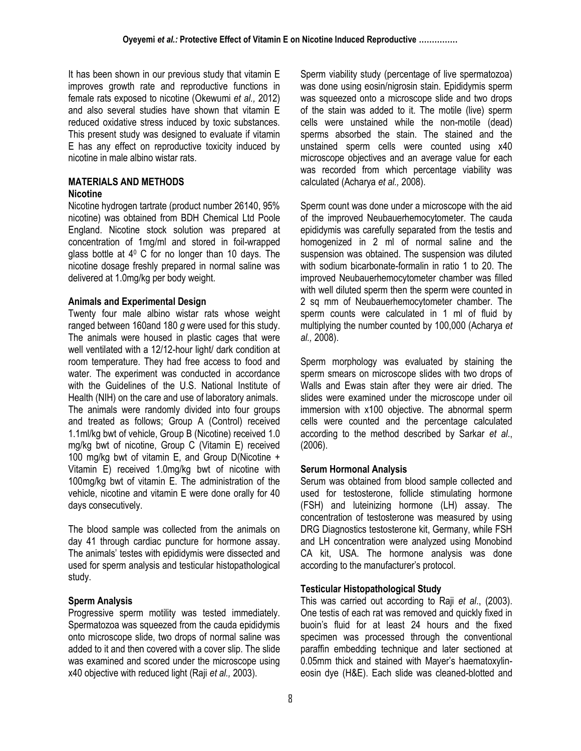It has been shown in our previous study that vitamin E improves growth rate and reproductive functions in female rats exposed to nicotine (Okewumi *et al.,* 2012) and also several studies have shown that vitamin E reduced oxidative stress induced by toxic substances. This present study was designed to evaluate if vitamin E has any effect on reproductive toxicity induced by nicotine in male albino wistar rats.

# **MATERIALS AND METHODS**

# **Nicotine**

Nicotine hydrogen tartrate (product number 26140, 95% nicotine) was obtained from BDH Chemical Ltd Poole England. Nicotine stock solution was prepared at concentration of 1mg/ml and stored in foil-wrapped glass bottle at  $4^{\circ}$  C for no longer than 10 days. The nicotine dosage freshly prepared in normal saline was delivered at 1.0mg/kg per body weight.

#### **Animals and Experimental Design**

Twenty four male albino wistar rats whose weight ranged between 160and 180 *g* were used for this study. The animals were housed in plastic cages that were well ventilated with a 12/12-hour light/ dark condition at room temperature. They had free access to food and water. The experiment was conducted in accordance with the Guidelines of the U.S. National Institute of Health (NIH) on the care and use of laboratory animals. The animals were randomly divided into four groups and treated as follows; Group A (Control) received 1.1ml/kg bwt of vehicle, Group B (Nicotine) received 1.0 mg/kg bwt of nicotine, Group C (Vitamin E) received 100 mg/kg bwt of vitamin E, and Group D(Nicotine + Vitamin E) received 1.0mg/kg bwt of nicotine with 100mg/kg bwt of vitamin E. The administration of the vehicle, nicotine and vitamin E were done orally for 40 days consecutively.

The blood sample was collected from the animals on day 41 through cardiac puncture for hormone assay. The animals' testes with epididymis were dissected and used for sperm analysis and testicular histopathological study.

# **Sperm Analysis**

Progressive sperm motility was tested immediately. Spermatozoa was squeezed from the cauda epididymis onto microscope slide, two drops of normal saline was added to it and then covered with a cover slip. The slide was examined and scored under the microscope using x40 objective with reduced light (Raji *et al.,* 2003).

Sperm viability study (percentage of live spermatozoa) was done using eosin/nigrosin stain. Epididymis sperm was squeezed onto a microscope slide and two drops of the stain was added to it. The motile (live) sperm cells were unstained while the non-motile (dead) sperms absorbed the stain. The stained and the unstained sperm cells were counted using x40 microscope objectives and an average value for each was recorded from which percentage viability was calculated (Acharya *et al.,* 2008).

Sperm count was done under a microscope with the aid of the improved Neubauerhemocytometer. The cauda epididymis was carefully separated from the testis and homogenized in 2 ml of normal saline and the suspension was obtained. The suspension was diluted with sodium bicarbonate-formalin in ratio 1 to 20. The improved Neubauerhemocytometer chamber was filled with well diluted sperm then the sperm were counted in 2 sq mm of Neubauerhemocytometer chamber. The sperm counts were calculated in 1 ml of fluid by multiplying the number counted by 100,000 (Acharya *et al.,* 2008).

Sperm morphology was evaluated by staining the sperm smears on microscope slides with two drops of Walls and Ewas stain after they were air dried. The slides were examined under the microscope under oil immersion with x100 objective. The abnormal sperm cells were counted and the percentage calculated according to the method described by Sarkar *et al*., (2006).

# **Serum Hormonal Analysis**

Serum was obtained from blood sample collected and used for testosterone, follicle stimulating hormone (FSH) and luteinizing hormone (LH) assay. The concentration of testosterone was measured by using DRG Diagnostics testosterone kit, Germany, while FSH and LH concentration were analyzed using Monobind CA kit, USA. The hormone analysis was done according to the manufacturer's protocol.

# **Testicular Histopathological Study**

This was carried out according to Raji *et al*., (2003). One testis of each rat was removed and quickly fixed in buoin's fluid for at least 24 hours and the fixed specimen was processed through the conventional paraffin embedding technique and later sectioned at 0.05mm thick and stained with Mayer's haematoxylineosin dye (H&E). Each slide was cleaned-blotted and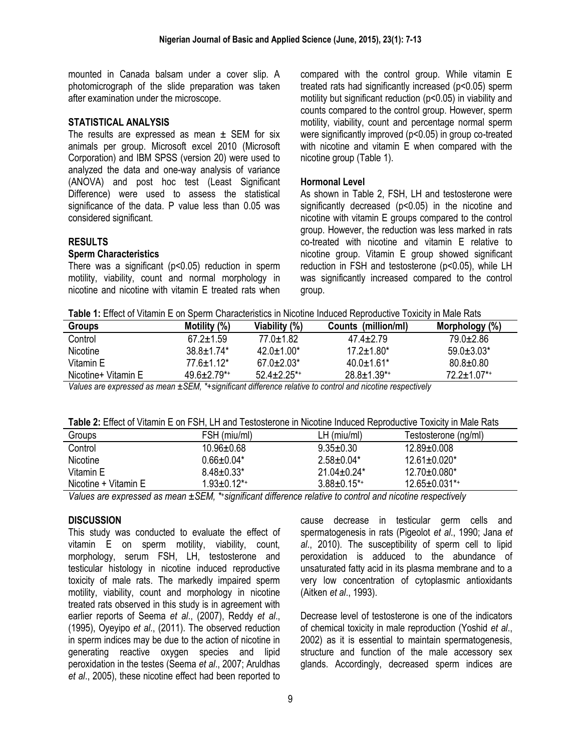mounted in Canada balsam under a cover slip. A photomicrograph of the slide preparation was taken after examination under the microscope.

#### **STATISTICAL ANALYSIS**

The results are expressed as mean  $\pm$  SEM for six animals per group. Microsoft excel 2010 (Microsoft Corporation) and IBM SPSS (version 20) were used to analyzed the data and one-way analysis of variance (ANOVA) and post hoc test (Least Significant Difference) were used to assess the statistical significance of the data. P value less than 0.05 was considered significant.

#### **RESULTS**

#### **Sperm Characteristics**

There was a significant (p<0.05) reduction in sperm motility, viability, count and normal morphology in nicotine and nicotine with vitamin E treated rats when compared with the control group. While vitamin E treated rats had significantly increased (p<0.05) sperm motility but significant reduction ( $p$ <0.05) in viability and counts compared to the control group. However, sperm motility, viability, count and percentage normal sperm were significantly improved (p<0.05) in group co-treated with nicotine and vitamin E when compared with the nicotine group (Table 1).

#### **Hormonal Level**

As shown in Table 2, FSH, LH and testosterone were significantly decreased (p<0.05) in the nicotine and nicotine with vitamin E groups compared to the control group. However, the reduction was less marked in rats co-treated with nicotine and vitamin E relative to nicotine group. Vitamin E group showed significant reduction in FSH and testosterone (p<0.05), while LH was significantly increased compared to the control group.

| <b>Groups</b>       | Motility (%)                  | Viability (%)    | Counts (million/ml) | Morphology (%)     |
|---------------------|-------------------------------|------------------|---------------------|--------------------|
| Control             | $67.2 \pm 1.59$               | $77.0 \pm 1.82$  | $47.4 + 2.79$       | $79.0 \pm 2.86$    |
| <b>Nicotine</b>     | $388+174*$                    | $42.0 \pm 1.00*$ | $17.2 + 1.80*$      | $59.0 \pm 3.03*$   |
| Vitamin E           | $77.6 \pm 1.12^*$             | $67.0 \pm 2.03*$ | $40.0 + 1.61*$      | $80.8 \pm 0.80$    |
| Nicotine+ Vitamin E | $49.6 \pm 2.79$ <sup>*+</sup> | $52.4 + 2.25$ *+ | $28.8 \pm 1.39^{*}$ | $72.2 \pm 1.07$ *+ |
|                     |                               |                  |                     |                    |

*Values are expressed as mean ±SEM, \*+significant difference relative to control and nicotine respectively*

| Table 2: Effect of Vitamin E on FSH, LH and Testosterone in Nicotine Induced Reproductive Toxicity in Male Rats |
|-----------------------------------------------------------------------------------------------------------------|
|-----------------------------------------------------------------------------------------------------------------|

| Groups               | FSH (miu/ml)       | $LH$ (miu/ml)       | Testosterone (ng/ml) |  |  |
|----------------------|--------------------|---------------------|----------------------|--|--|
| Control              | $10.96 \pm 0.68$   | $9.35 \pm 0.30$     | $12.89 + 0.008$      |  |  |
| Nicotine             | $0.66 \pm 0.04*$   | $2.58+0.04*$        | $12.61 \pm 0.020$ *  |  |  |
| Vitamin E            | $8.48 \pm 0.33^*$  | $21.04 + 0.24*$     | 12.70±0.080*         |  |  |
| Nicotine + Vitamin E | $1.93 \pm 0.12$ *+ | $3.88 \pm 0.15^{*}$ | $12.65 \pm 0.031$ *+ |  |  |

*Values are expressed as mean ±SEM, \*+significant difference relative to control and nicotine respectively*

#### **DISCUSSION**

This study was conducted to evaluate the effect of vitamin E on sperm motility, viability, count, morphology, serum FSH, LH, testosterone and testicular histology in nicotine induced reproductive toxicity of male rats. The markedly impaired sperm motility, viability, count and morphology in nicotine treated rats observed in this study is in agreement with earlier reports of Seema *et al*., (2007), Reddy *et al*., (1995), Oyeyipo *et al*., (2011). The observed reduction in sperm indices may be due to the action of nicotine in generating reactive oxygen species and lipid peroxidation in the testes (Seema *et al*., 2007; Aruldhas *et al*., 2005), these nicotine effect had been reported to

cause decrease in testicular germ cells and spermatogenesis in rats (Pigeolot *et al*., 1990; Jana *et al*., 2010). The susceptibility of sperm cell to lipid peroxidation is adduced to the abundance of unsaturated fatty acid in its plasma membrane and to a very low concentration of cytoplasmic antioxidants (Aitken *et al*., 1993).

Decrease level of testosterone is one of the indicators of chemical toxicity in male reproduction (Yoshid *et al*., 2002) as it is essential to maintain spermatogenesis, structure and function of the male accessory sex glands. Accordingly, decreased sperm indices are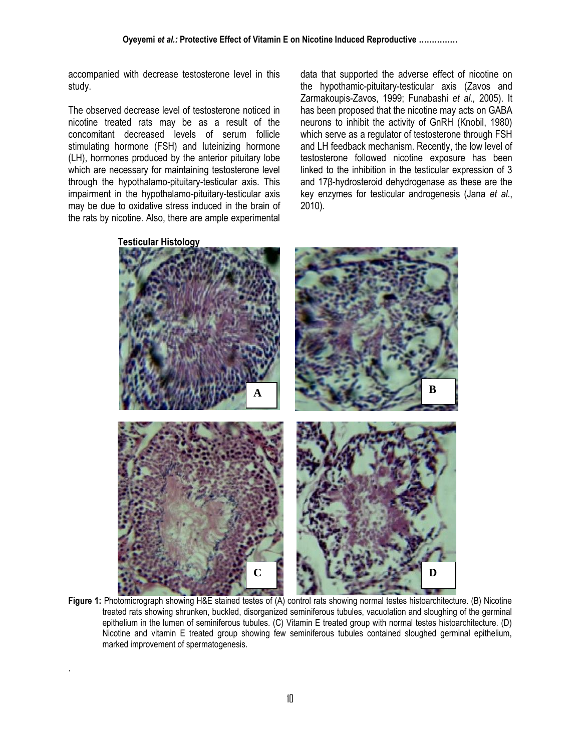accompanied with decrease testosterone level in this study.

The observed decrease level of testosterone noticed in nicotine treated rats may be as a result of the concomitant decreased levels of serum follicle stimulating hormone (FSH) and luteinizing hormone (LH), hormones produced by the anterior pituitary lobe which are necessary for maintaining testosterone level through the hypothalamo-pituitary-testicular axis. This impairment in the hypothalamo-pituitary-testicular axis may be due to oxidative stress induced in the brain of the rats by nicotine. Also, there are ample experimental

.

data that supported the adverse effect of nicotine on the hypothamic-pituitary-testicular axis (Zavos and Zarmakoupis-Zavos, 1999; Funabashi *et al.,* 2005). It has been proposed that the nicotine may acts on GABA neurons to inhibit the activity of GnRH (Knobil, 1980) which serve as a regulator of testosterone through FSH and LH feedback mechanism. Recently, the low level of testosterone followed nicotine exposure has been linked to the inhibition in the testicular expression of 3 and 17β-hydrosteroid dehydrogenase as these are the key enzymes for testicular androgenesis (Jana *et al*., 2010).



**Figure 1:** Photomicrograph showing H&E stained testes of (A) control rats showing normal testes histoarchitecture. (B) Nicotine treated rats showing shrunken, buckled, disorganized seminiferous tubules, vacuolation and sloughing of the germinal epithelium in the lumen of seminiferous tubules. (C) Vitamin E treated group with normal testes histoarchitecture. (D) Nicotine and vitamin E treated group showing few seminiferous tubules contained sloughed germinal epithelium, marked improvement of spermatogenesis.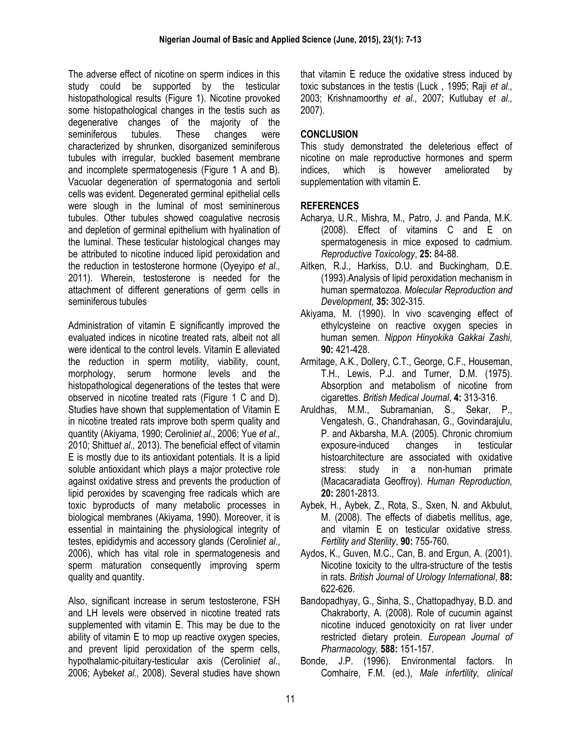The adverse effect of nicotine on sperm indices in this study could be supported by the testicular histopathological results (Figure 1). Nicotine provoked some histopathological changes in the testis such as degenerative changes of the majority of the seminiferous tubules. These changes were characterized by shrunken, disorganized seminiferous tubules with irregular, buckled basement membrane and incomplete spermatogenesis (Figure 1 A and B). Vacuolar degeneration of spermatogonia and sertoli cells was evident. Degenerated germinal epithelial cells were slough in the luminal of most semininerous tubules. Other tubules showed coagulative necrosis and depletion of germinal epithelium with hyalination of the luminal. These testicular histological changes may be attributed to nicotine induced lipid peroxidation and the reduction in testosterone hormone (Oyeyipo *et al.,*  2011). Wherein, testosterone is needed for the attachment of different generations of germ cells in seminiferous tubules

Administration of vitamin E significantly improved the evaluated indices in nicotine treated rats, albeit not all were identical to the control levels. Vitamin E alleviated the reduction in sperm motility, viability, count, morphology, serum hormone levels and the histopathological degenerations of the testes that were observed in nicotine treated rats (Figure 1 C and D). Studies have shown that supplementation of Vitamin E in nicotine treated rats improve both sperm quality and quantity (Akiyama, 1990; Cerolini*et al*., 2006; Yue *et al.,*  2010; Shittu*et al.,* 2013). The beneficial effect of vitamin E is mostly due to its antioxidant potentials. It is a lipid soluble antioxidant which plays a major protective role against oxidative stress and prevents the production of lipid peroxides by scavenging free radicals which are toxic byproducts of many metabolic processes in biological membranes (Akiyama, 1990). Moreover, it is essential in maintaining the physiological integrity of testes, epididymis and accessory glands (Cerolini*et al*., 2006), which has vital role in spermatogenesis and sperm maturation consequently improving sperm quality and quantity.

Also, significant increase in serum testosterone, FSH and LH levels were observed in nicotine treated rats supplemented with vitamin E. This may be due to the ability of vitamin E to mop up reactive oxygen species, and prevent lipid peroxidation of the sperm cells, hypothalamic-pituitary-testicular axis (Cerolini*et al*., 2006; Aybek*et al.,* 2008). Several studies have shown that vitamin E reduce the oxidative stress induced by toxic substances in the testis (Luck , 1995; Raji *et al.,*  2003; Krishnamoorthy *et al.,* 2007; Kutlubay *et al.,* 2007).

# **CONCLUSION**

This study demonstrated the deleterious effect of nicotine on male reproductive hormones and sperm indices, which is however ameliorated by supplementation with vitamin E.

# **REFERENCES**

- Acharya, U.R., Mishra, M., Patro, J. and Panda, M.K. (2008). Effect of vitamins C and E on spermatogenesis in mice exposed to cadmium. *Reproductive Toxicology*, **25:** 84-88.
- Aitken, R.J., Harkiss, D.U. and Buckingham, D.E. (1993).Analysis of lipid peroxidation mechanism in human spermatozoa. *Molecular Reproduction and Development,* **35:** 302-315.
- Akiyama, M. (1990). In vivo scavenging effect of ethylcysteine on reactive oxygen species in human semen. *Nippon Hinyokika Gakkai Zashi,* **90:** 421-428.
- Armitage, A.K., Dollery, C.T., George, C.F., Houseman, T.H., Lewis, P.J. and Turner, D.M. (1975). Absorption and metabolism of nicotine from cigarettes. *British Medical Journal*, **4:** 313-316.
- Aruldhas, M.M., Subramanian, S., Sekar, P., Vengatesh, G., Chandrahasan, G., Govindarajulu, P. and Akbarsha, M.A. (2005). Chronic chromium exposure-induced changes in testicular histoarchitecture are associated with oxidative stress: study in a non-human primate (Macacaradiata Geoffroy). *Human Reproduction,* **20:** 2801-2813.
- Aybek, H., Aybek, Z., Rota, S., Sxen, N. and Akbulut, M. (2008). The effects of diabetis mellitus, age, and vitamin E on testicular oxidative stress. *Fertility and Sterility*, **90:** 755-760.
- Aydos, K., Guven, M.C., Can, B. and Ergun, A. (2001). Nicotine toxicity to the ultra-structure of the testis in rats. *British Journal of Urology International*, **88:** 622-626.
- Bandopadhyay, G., Sinha, S., Chattopadhyay, B.D. and Chakraborty, A. (2008). Role of cucumin against nicotine induced genotoxicity on rat liver under restricted dietary protein. *European Journal of Pharmacology,* **588:** 151-157.
- Bonde, J.P. (1996). Environmental factors. In Comhaire, F.M. (ed.), *Male infertility, clinical*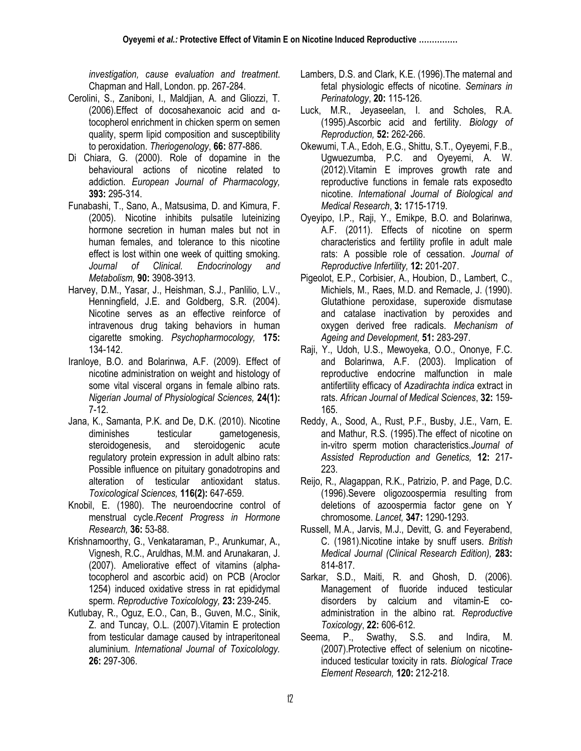*investigation, cause evaluation and treatment*. Chapman and Hall, London. pp. 267-284.

- Cerolini, S., Zaniboni, I., Maldjian, A. and Gliozzi, T. (2006).Effect of docosahexanoic acid and αtocopherol enrichment in chicken sperm on semen quality, sperm lipid composition and susceptibility to peroxidation. *Theriogenology*, **66:** 877-886.
- Di Chiara, G. (2000). Role of dopamine in the behavioural actions of nicotine related to addiction. *European Journal of Pharmacology,* **393:** 295-314.
- Funabashi, T., Sano, A., Matsusima, D. and Kimura, F. (2005). Nicotine inhibits pulsatile luteinizing hormone secretion in human males but not in human females, and tolerance to this nicotine effect is lost within one week of quitting smoking. *Journal of Clinical. Endocrinology and Metabolism,* **90:** 3908-3913.
- Harvey, D.M., Yasar, J., Heishman, S.J., Panlilio, L.V., Henningfield, J.E. and Goldberg, S.R. (2004). Nicotine serves as an effective reinforce of intravenous drug taking behaviors in human cigarette smoking. *Psychopharmocology,* **175:**  134-142.
- Iranloye, B.O. and Bolarinwa, A.F. (2009). Effect of nicotine administration on weight and histology of some vital visceral organs in female albino rats. *Nigerian Journal of Physiological Sciences,* **24(1):** 7-12.
- Jana, K., Samanta, P.K. and De, D.K. (2010). Nicotine diminishes testicular gametogenesis, steroidogenesis, and steroidogenic acute regulatory protein expression in adult albino rats: Possible influence on pituitary gonadotropins and alteration of testicular antioxidant status. *Toxicological Sciences,* **116(2):** 647-659.
- Knobil, E. (1980). The neuroendocrine control of menstrual cycle.*Recent Progress in Hormone Research,* **36:** 53-88.
- Krishnamoorthy, G., Venkataraman, P., Arunkumar, A., Vignesh, R.C., Aruldhas, M.M. and Arunakaran, J. (2007). Ameliorative effect of vitamins (alphatocopherol and ascorbic acid) on PCB (Aroclor 1254) induced oxidative stress in rat epididymal sperm. *Reproductive Toxicolology,* **23:** 239-245.
- Kutlubay, R., Oguz, E.O., Can, B., Guven, M.C., Sinik, Z. and Tuncay, O.L. (2007).Vitamin E protection from testicular damage caused by intraperitoneal aluminium. *International Journal of Toxicolology.* **26:** 297-306.
- Lambers, D.S. and Clark, K.E. (1996).The maternal and fetal physiologic effects of nicotine. *Seminars in Perinatology*, **20:** 115-126.
- Luck, M.R., Jeyaseelan, I. and Scholes, R.A. (1995).Ascorbic acid and fertility. *Biology of Reproduction,* **52:** 262-266.
- Okewumi, T.A., Edoh, E.G., Shittu, S.T., Oyeyemi, F.B., Ugwuezumba, P.C. and Oyeyemi, A. W. (2012).Vitamin E improves growth rate and reproductive functions in female rats exposedto nicotine. *International Journal of Biological and Medical Research*, **3:** 1715-1719.
- Oyeyipo, I.P., Raji, Y., Emikpe, B.O. and Bolarinwa, A.F. (2011). Effects of nicotine on sperm characteristics and fertility profile in adult male rats: A possible role of cessation. *Journal of Reproductive Infertility,* **12:** 201-207.
- Pigeolot, E.P., Corbisier, A., Houbion, D., Lambert, C., Michiels, M., Raes, M.D. and Remacle, J. (1990). Glutathione peroxidase, superoxide dismutase and catalase inactivation by peroxides and oxygen derived free radicals. *Mechanism of Ageing and Development,* **51:** 283-297.
- Raji, Y., Udoh, U.S., Mewoyeka, O.O., Ononye, F.C. and Bolarinwa, A.F. (2003). Implication of reproductive endocrine malfunction in male antifertility efficacy of *Azadirachta indica* extract in rats. *African Journal of Medical Sciences*, **32:** 159- 165.
- Reddy, A., Sood, A., Rust, P.F., Busby, J.E., Varn, E. and Mathur, R.S. (1995).The effect of nicotine on in-vitro sperm motion characteristics.*Journal of Assisted Reproduction and Genetics,* **12:** 217- 223.
- Reijo, R., Alagappan, R.K., Patrizio, P. and Page, D.C. (1996).Severe oligozoospermia resulting from deletions of azoospermia factor gene on Y chromosome. *Lancet,* **347:** 1290-1293.
- Russell, M.A., Jarvis, M.J., Devitt, G. and Feyerabend, C. (1981).Nicotine intake by snuff users. *British Medical Journal (Clinical Research Edition),* **283:** 814-817.
- Sarkar, S.D., Maiti, R. and Ghosh, D. (2006). Management of fluoride induced testicular disorders by calcium and vitamin-E coadministration in the albino rat. *Reproductive Toxicology*, **22:** 606-612.
- Seema, P., Swathy, S.S. and Indira, M. (2007).Protective effect of selenium on nicotineinduced testicular toxicity in rats. *Biological Trace Element Research,* **120:** 212-218.